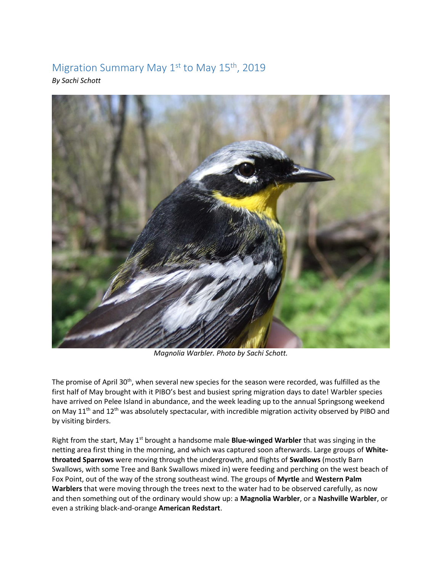## Migration Summary May 1<sup>st</sup> to May 15<sup>th</sup>, 2019 *By Sachi Schott*



*Magnolia Warbler. Photo by Sachi Schott.* 

The promise of April 30<sup>th</sup>, when several new species for the season were recorded, was fulfilled as the first half of May brought with it PIBO's best and busiest spring migration days to date! Warbler species have arrived on Pelee Island in abundance, and the week leading up to the annual Springsong weekend on May 11<sup>th</sup> and 12<sup>th</sup> was absolutely spectacular, with incredible migration activity observed by PIBO and by visiting birders.

Right from the start, May 1<sup>st</sup> brought a handsome male **Blue-winged Warbler** that was singing in the netting area first thing in the morning, and which was captured soon afterwards. Large groups of **Whitethroated Sparrows** were moving through the undergrowth, and flights of **Swallows** (mostly Barn Swallows, with some Tree and Bank Swallows mixed in) were feeding and perching on the west beach of Fox Point, out of the way of the strong southeast wind. The groups of **Myrtle** and **Western Palm Warblers** that were moving through the trees next to the water had to be observed carefully, as now and then something out of the ordinary would show up: a **Magnolia Warbler**, or a **Nashville Warbler**, or even a striking black-and-orange **American Redstart**.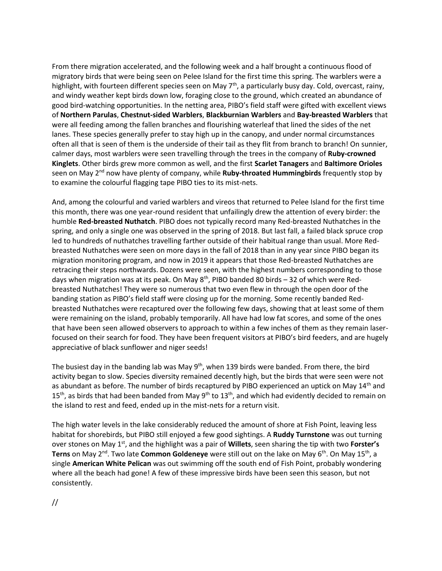From there migration accelerated, and the following week and a half brought a continuous flood of migratory birds that were being seen on Pelee Island for the first time this spring. The warblers were a highlight, with fourteen different species seen on May 7<sup>th</sup>, a particularly busy day. Cold, overcast, rainy, and windy weather kept birds down low, foraging close to the ground, which created an abundance of good bird-watching opportunities. In the netting area, PIBO's field staff were gifted with excellent views of **Northern Parulas**, **Chestnut-sided Warblers**, **Blackburnian Warblers** and **Bay-breasted Warblers** that were all feeding among the fallen branches and flourishing waterleaf that lined the sides of the net lanes. These species generally prefer to stay high up in the canopy, and under normal circumstances often all that is seen of them is the underside of their tail as they flit from branch to branch! On sunnier, calmer days, most warblers were seen travelling through the trees in the company of **Ruby-crowned Kinglets**. Other birds grew more common as well, and the first **Scarlet Tanagers** and **Baltimore Orioles** seen on May 2nd now have plenty of company, while **Ruby-throated Hummingbirds** frequently stop by to examine the colourful flagging tape PIBO ties to its mist-nets.

And, among the colourful and varied warblers and vireos that returned to Pelee Island for the first time this month, there was one year-round resident that unfailingly drew the attention of every birder: the humble **Red-breasted Nuthatch**. PIBO does not typically record many Red-breasted Nuthatches in the spring, and only a single one was observed in the spring of 2018. But last fall, a failed black spruce crop led to hundreds of nuthatches travelling farther outside of their habitual range than usual. More Redbreasted Nuthatches were seen on more days in the fall of 2018 than in any year since PIBO began its migration monitoring program, and now in 2019 it appears that those Red-breasted Nuthatches are retracing their steps northwards. Dozens were seen, with the highest numbers corresponding to those days when migration was at its peak. On May  $8^{th}$ , PIBO banded 80 birds - 32 of which were Redbreasted Nuthatches! They were so numerous that two even flew in through the open door of the banding station as PIBO's field staff were closing up for the morning. Some recently banded Redbreasted Nuthatches were recaptured over the following few days, showing that at least some of them were remaining on the island, probably temporarily. All have had low fat scores, and some of the ones that have been seen allowed observers to approach to within a few inches of them as they remain laserfocused on their search for food. They have been frequent visitors at PIBO's bird feeders, and are hugely appreciative of black sunflower and niger seeds!

The busiest day in the banding lab was May  $9<sup>th</sup>$ , when 139 birds were banded. From there, the bird activity began to slow. Species diversity remained decently high, but the birds that were seen were not as abundant as before. The number of birds recaptured by PIBO experienced an uptick on May 14<sup>th</sup> and  $15<sup>th</sup>$ , as birds that had been banded from May 9<sup>th</sup> to  $13<sup>th</sup>$ , and which had evidently decided to remain on the island to rest and feed, ended up in the mist-nets for a return visit.

The high water levels in the lake considerably reduced the amount of shore at Fish Point, leaving less habitat for shorebirds, but PIBO still enjoyed a few good sightings. A **Ruddy Turnstone** was out turning over stones on May 1st, and the highlight was a pair of **Willets**, seen sharing the tip with two **Forster's Terns** on May 2<sup>nd</sup>. Two late **Common Goldeneye** were still out on the lake on May 6<sup>th</sup>. On May 15<sup>th</sup>, a single **American White Pelican** was out swimming off the south end of Fish Point, probably wondering where all the beach had gone! A few of these impressive birds have been seen this season, but not consistently.

//